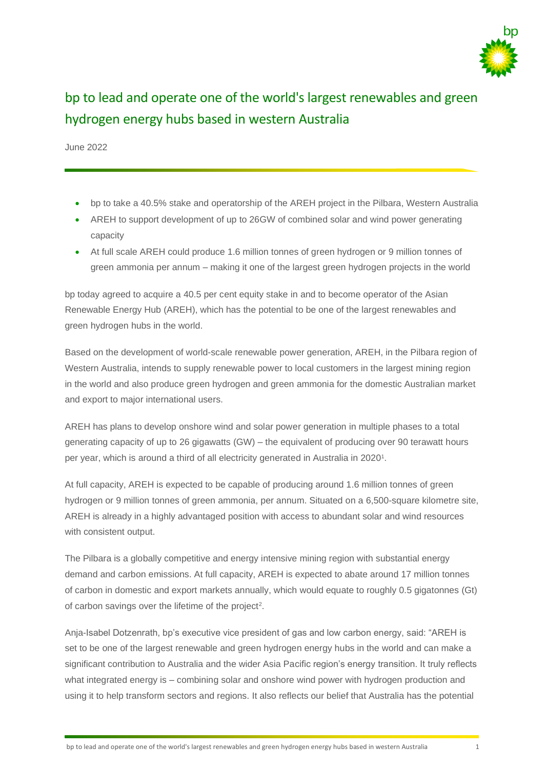

## bp to lead and operate one of the world's largest renewables and green hydrogen energy hubs based in western Australia

June 2022

- bp to take a 40.5% stake and operatorship of the AREH project in the Pilbara, Western Australia
- AREH to support development of up to 26GW of combined solar and wind power generating capacity
- At full scale AREH could produce 1.6 million tonnes of green hydrogen or 9 million tonnes of green ammonia per annum – making it one of the largest green hydrogen projects in the world

bp today agreed to acquire a 40.5 per cent equity stake in and to become operator of the Asian Renewable Energy Hub (AREH), which has the potential to be one of the largest renewables and green hydrogen hubs in the world.

Based on the development of world-scale renewable power generation, AREH, in the Pilbara region of Western Australia, intends to supply renewable power to local customers in the largest mining region in the world and also produce green hydrogen and green ammonia for the domestic Australian market and export to major international users.

AREH has plans to develop onshore wind and solar power generation in multiple phases to a total generating capacity of up to 26 gigawatts (GW) – the equivalent of producing over 90 terawatt hours per year, which is around a third of all electricity generated in Australia in 2020<sup>1</sup>.

At full capacity, AREH is expected to be capable of producing around 1.6 million tonnes of green hydrogen or 9 million tonnes of green ammonia, per annum. Situated on a 6,500-square kilometre site, AREH is already in a highly advantaged position with access to abundant solar and wind resources with consistent output.

The Pilbara is a globally competitive and energy intensive mining region with substantial energy demand and carbon emissions. At full capacity, AREH is expected to abate around 17 million tonnes of carbon in domestic and export markets annually, which would equate to roughly 0.5 gigatonnes (Gt) of carbon savings over the lifetime of the project<sup>2</sup>.

Anja-Isabel Dotzenrath, bp's executive vice president of gas and low carbon energy, said: "AREH is set to be one of the largest renewable and green hydrogen energy hubs in the world and can make a significant contribution to Australia and the wider Asia Pacific region's energy transition. It truly reflects what integrated energy is – combining solar and onshore wind power with hydrogen production and using it to help transform sectors and regions. It also reflects our belief that Australia has the potential